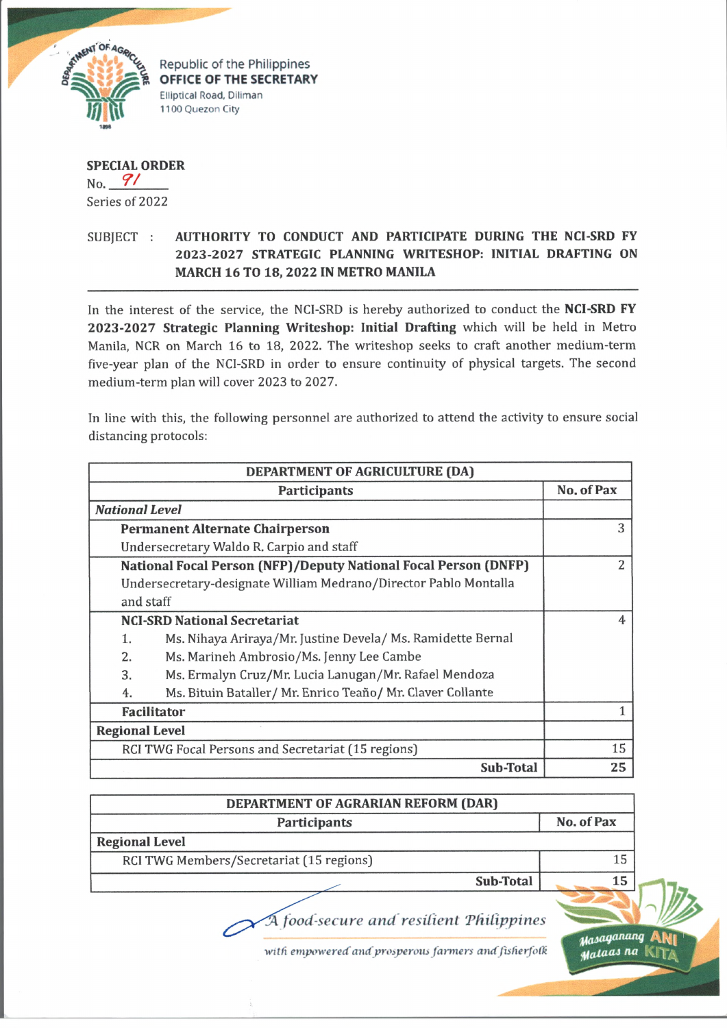

Republic of the Philippines **OFFICE OF THE SECRETARY Elliptical Road, Diliman 1100 Quezon City**

**SPECIAL ORDER** No. *7 /* Series of 2022

## SUBJECT : **AUTHORITY TO CONDUCT AND PARTICIPATE DURING THE NCI-SRD FY 2023-2027 STRATEGIC PLANNING WRITESHOP: INITIAL DRAFTING ON MARCH 16 TO 18, 2022 IN METRO MANILA**

In the interest of the service, the NCI-SRD is hereby authorized to conduct the **NCI-SRD FY 2023-2027 Strategic Planning Writeshop: Initial Drafting** which will be held in Metro Manila, NCR on March 16 to 18, 2022. The writeshop seeks to craft another medium-term five-year plan of the NCI-SRD in order to ensure continuity of physical targets. The second medium-term plan will cover 2023 to 2027.

In line with this, the following personnel are authorized to attend the activity to ensure social distancing protocols:

| DEPARTMENT OF AGRICULTURE (DA)                     |                                                                        |            |
|----------------------------------------------------|------------------------------------------------------------------------|------------|
|                                                    | Participants                                                           | No. of Pax |
|                                                    | <b>National Level</b>                                                  |            |
|                                                    | <b>Permanent Alternate Chairperson</b>                                 | 3          |
|                                                    | Undersecretary Waldo R. Carpio and staff                               |            |
|                                                    | <b>National Focal Person (NFP)/Deputy National Focal Person (DNFP)</b> | 2          |
|                                                    | Undersecretary-designate William Medrano/Director Pablo Montalla       |            |
|                                                    | and staff                                                              |            |
|                                                    | <b>NCI-SRD National Secretariat</b>                                    | 4          |
| 1.                                                 | Ms. Nihaya Ariraya/Mr. Justine Devela/ Ms. Ramidette Bernal            |            |
| 2.                                                 | Ms. Marineh Ambrosio/Ms. Jenny Lee Cambe                               |            |
| 3.                                                 | Ms. Ermalyn Cruz/Mr. Lucia Lanugan/Mr. Rafael Mendoza                  |            |
| 4.                                                 | Ms. Bituin Bataller/ Mr. Enrico Teaño/ Mr. Claver Collante             |            |
| <b>Facilitator</b>                                 |                                                                        |            |
|                                                    | <b>Regional Level</b>                                                  |            |
| RCI TWG Focal Persons and Secretariat (15 regions) |                                                                        | 15         |
|                                                    | Sub-Total                                                              | 25         |

| Participants                             |           | No. of Pax |
|------------------------------------------|-----------|------------|
| <b>Regional Level</b>                    |           |            |
| RCI TWG Members/Secretariat (15 regions) |           | 15         |
|                                          | Sub-Total | 15         |

with empowered and prosperous farmers and fisherfolk

*tfasaqarmnq* A N i *tfatacu fia* **KlT/\**